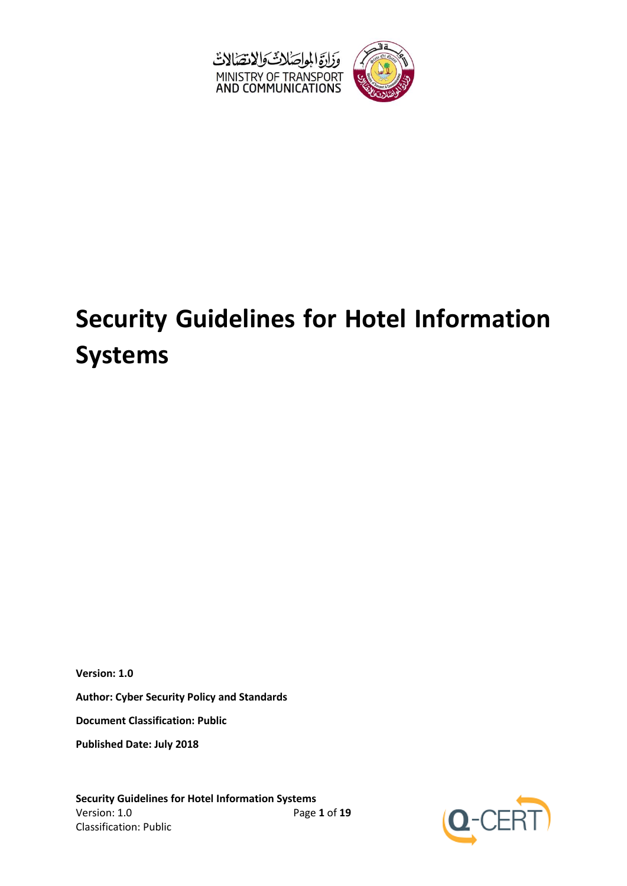

# **Security Guidelines for Hotel Information Systems**

**Version: 1.0**

**Author: Cyber Security Policy and Standards**

**Document Classification: Public**

**Published Date: July 2018**

**Security Guidelines for Hotel Information Systems** Version: 1.0 Page **1** of **19** Classification: Public

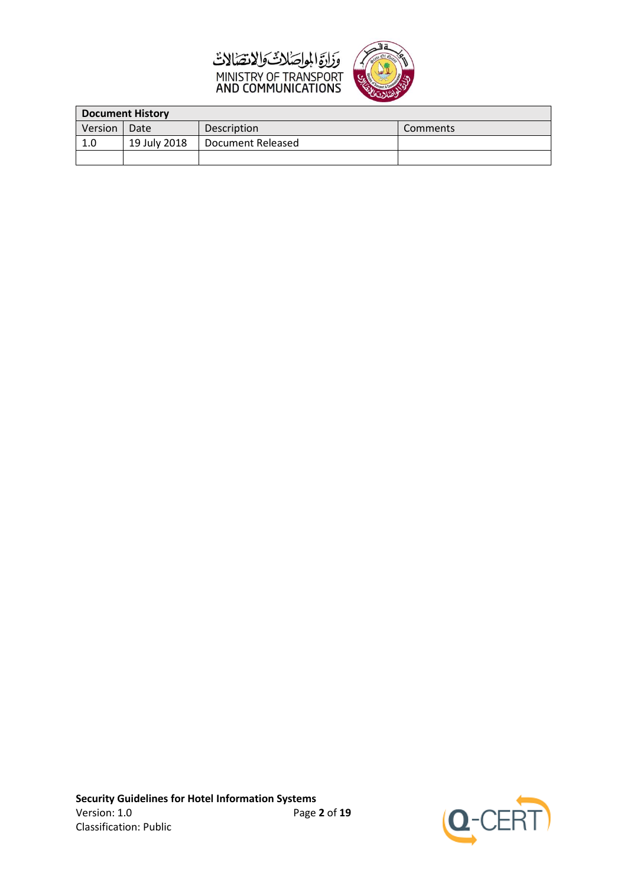



| <b>Document History</b> |              |                    |          |  |
|-------------------------|--------------|--------------------|----------|--|
| Version                 | Date         | <b>Description</b> | Comments |  |
| 1.0                     | 19 July 2018 | Document Released  |          |  |
|                         |              |                    |          |  |

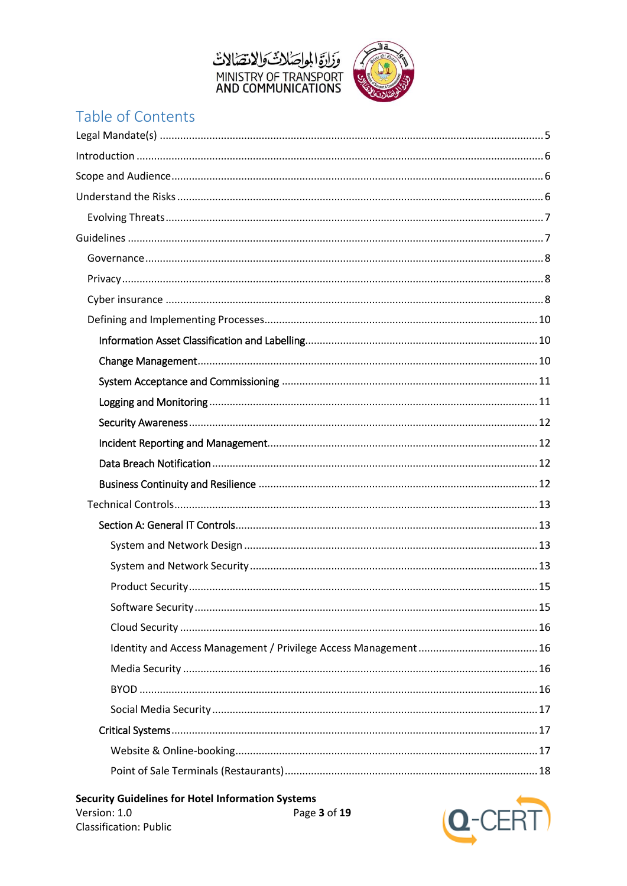



# Table of Contents

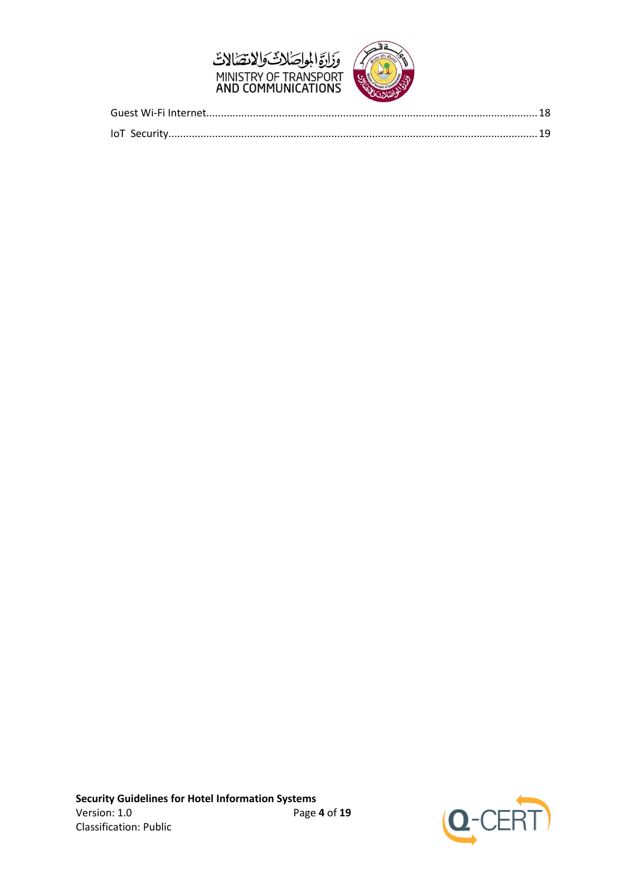



<span id="page-3-0"></span>

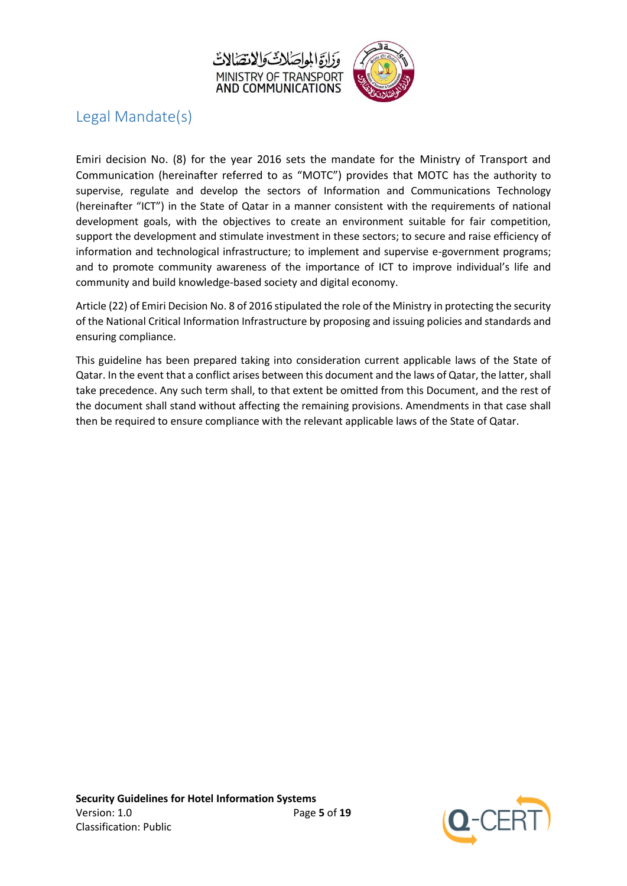



## Legal Mandate(s)

Emiri decision No. (8) for the year 2016 sets the mandate for the Ministry of Transport and Communication (hereinafter referred to as "MOTC") provides that MOTC has the authority to supervise, regulate and develop the sectors of Information and Communications Technology (hereinafter "ICT") in the State of Qatar in a manner consistent with the requirements of national development goals, with the objectives to create an environment suitable for fair competition, support the development and stimulate investment in these sectors; to secure and raise efficiency of information and technological infrastructure; to implement and supervise e-government programs; and to promote community awareness of the importance of ICT to improve individual's life and community and build knowledge-based society and digital economy.

Article (22) of Emiri Decision No. 8 of 2016 stipulated the role of the Ministry in protecting the security of the National Critical Information Infrastructure by proposing and issuing policies and standards and ensuring compliance.

This guideline has been prepared taking into consideration current applicable laws of the State of Qatar. In the event that a conflict arises between this document and the laws of Qatar, the latter, shall take precedence. Any such term shall, to that extent be omitted from this Document, and the rest of the document shall stand without affecting the remaining provisions. Amendments in that case shall then be required to ensure compliance with the relevant applicable laws of the State of Qatar.

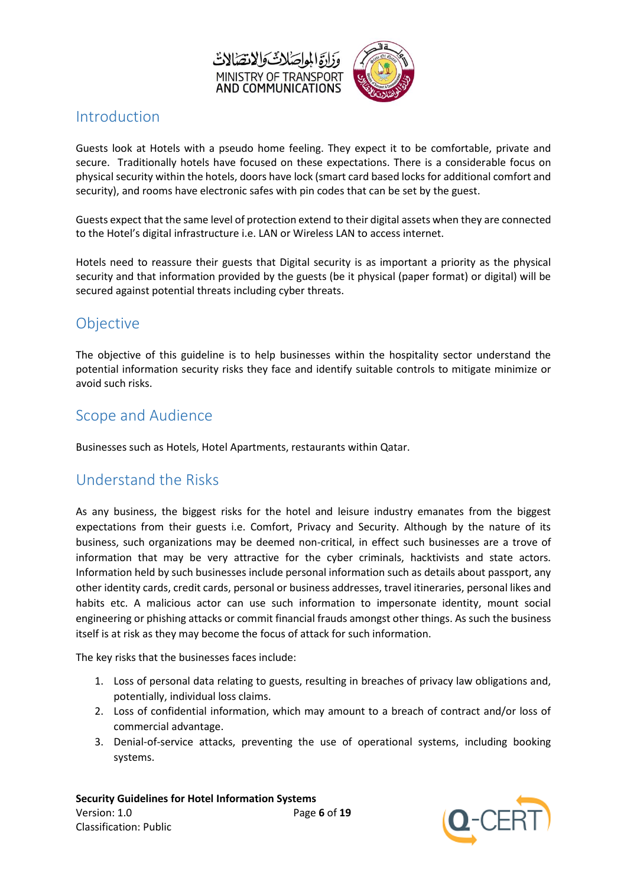

### <span id="page-5-0"></span>Introduction

Guests look at Hotels with a pseudo home feeling. They expect it to be comfortable, private and secure. Traditionally hotels have focused on these expectations. There is a considerable focus on physical security within the hotels, doors have lock (smart card based locks for additional comfort and security), and rooms have electronic safes with pin codes that can be set by the guest.

Guests expect that the same level of protection extend to their digital assets when they are connected to the Hotel's digital infrastructure i.e. LAN or Wireless LAN to access internet.

Hotels need to reassure their guests that Digital security is as important a priority as the physical security and that information provided by the guests (be it physical (paper format) or digital) will be secured against potential threats including cyber threats.

## Objective

The objective of this guideline is to help businesses within the hospitality sector understand the potential information security risks they face and identify suitable controls to mitigate minimize or avoid such risks.

## <span id="page-5-1"></span>Scope and Audience

Businesses such as Hotels, Hotel Apartments, restaurants within Qatar.

## <span id="page-5-2"></span>Understand the Risks

As any business, the biggest risks for the hotel and leisure industry emanates from the biggest expectations from their guests i.e. Comfort, Privacy and Security. Although by the nature of its business, such organizations may be deemed non-critical, in effect such businesses are a trove of information that may be very attractive for the cyber criminals, hacktivists and state actors. Information held by such businesses include personal information such as details about passport, any other identity cards, credit cards, personal or business addresses, travel itineraries, personal likes and habits etc. A malicious actor can use such information to impersonate identity, mount social engineering or phishing attacks or commit financial frauds amongst other things. As such the business itself is at risk as they may become the focus of attack for such information.

The key risks that the businesses faces include:

- 1. Loss of personal data relating to guests, resulting in breaches of privacy law obligations and, potentially, individual loss claims.
- 2. Loss of confidential information, which may amount to a breach of contract and/or loss of commercial advantage.
- 3. Denial-of-service attacks, preventing the use of operational systems, including booking systems.

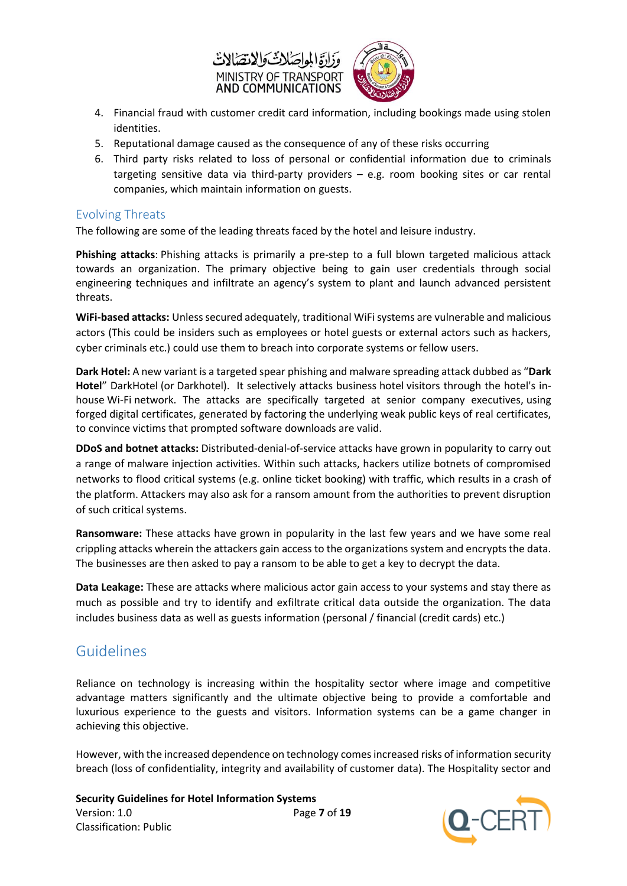



- 4. Financial fraud with customer credit card information, including bookings made using stolen identities.
- 5. Reputational damage caused as the consequence of any of these risks occurring
- 6. Third party risks related to loss of personal or confidential information due to criminals targeting sensitive data via third-party providers – e.g. room booking sites or car rental companies, which maintain information on guests.

#### <span id="page-6-0"></span>Evolving Threats

The following are some of the leading threats faced by the hotel and leisure industry.

**Phishing attacks**: Phishing attacks is primarily a pre-step to a full blown targeted malicious attack towards an organization. The primary objective being to gain user credentials through social engineering techniques and infiltrate an agency's system to plant and launch advanced persistent threats.

**WiFi-based attacks:** Unless secured adequately, traditional WiFi systems are vulnerable and malicious actors (This could be insiders such as employees or hotel guests or external actors such as hackers, cyber criminals etc.) could use them to breach into corporate systems or fellow users.

**Dark Hotel:** A new variant is a targeted spear phishing and malware spreading attack dubbed as "**Dark Hotel**" DarkHotel (or Darkhotel). It selectively attacks business [hotel](https://en.wikipedia.org/wiki/Hotel) visitors through the hotel's inhouse [Wi-Fi](https://en.wikipedia.org/wiki/WiFi) network. The attacks are specifically targeted at senior company executives, using forged [digital certificates,](https://en.wikipedia.org/wiki/Digital_certificate) generated by [factoring](https://en.wikipedia.org/wiki/Integer_factorization) the underlying weak [public keys](https://en.wikipedia.org/wiki/Public_key) of real certificates, to convince victims that prompted software downloads are valid.

**DDoS and botnet attacks:** Distributed-denial-of-service attacks have grown in popularity to carry out a range of malware injection activities. Within such attacks, hackers utilize botnets of compromised networks to flood critical systems (e.g. online ticket booking) with traffic, which results in a crash of the platform. Attackers may also ask for a ransom amount from the authorities to prevent disruption of such critical systems.

**Ransomware:** These attacks have grown in popularity in the last few years and we have some real crippling attacks wherein the attackers gain access to the organizations system and encrypts the data. The businesses are then asked to pay a ransom to be able to get a key to decrypt the data.

**Data Leakage:** These are attacks where malicious actor gain access to your systems and stay there as much as possible and try to identify and exfiltrate critical data outside the organization. The data includes business data as well as guests information (personal / financial (credit cards) etc.)

## <span id="page-6-1"></span>Guidelines

Reliance on technology is increasing within the hospitality sector where image and competitive advantage matters significantly and the ultimate objective being to provide a comfortable and luxurious experience to the guests and visitors. Information systems can be a game changer in achieving this objective.

However, with the increased dependence on technology comes increased risks of information security breach (loss of confidentiality, integrity and availability of customer data). The Hospitality sector and

**Security Guidelines for Hotel Information Systems** Version: 1.0 Page **7** of **19** Classification: Public

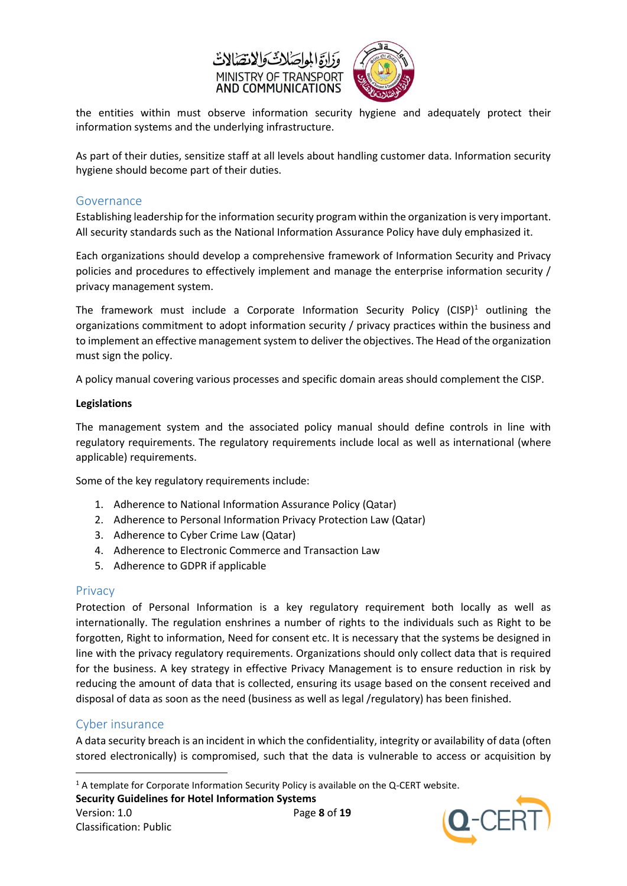



the entities within must observe information security hygiene and adequately protect their information systems and the underlying infrastructure.

As part of their duties, sensitize staff at all levels about handling customer data. Information security hygiene should become part of their duties.

#### <span id="page-7-0"></span>Governance

Establishing leadership for the information security program within the organization is very important. All security standards such as the National Information Assurance Policy have duly emphasized it.

Each organizations should develop a comprehensive framework of Information Security and Privacy policies and procedures to effectively implement and manage the enterprise information security / privacy management system.

The framework must include a Corporate Information Security Policy (CISP)<sup>1</sup> outlining the organizations commitment to adopt information security / privacy practices within the business and to implement an effective management system to deliver the objectives. The Head of the organization must sign the policy.

A policy manual covering various processes and specific domain areas should complement the CISP.

#### **Legislations**

The management system and the associated policy manual should define controls in line with regulatory requirements. The regulatory requirements include local as well as international (where applicable) requirements.

Some of the key regulatory requirements include:

- 1. Adherence to National Information Assurance Policy (Qatar)
- 2. Adherence to Personal Information Privacy Protection Law (Qatar)
- 3. Adherence to Cyber Crime Law (Qatar)
- 4. Adherence to Electronic Commerce and Transaction Law
- 5. Adherence to GDPR if applicable

#### <span id="page-7-1"></span>Privacy

Protection of Personal Information is a key regulatory requirement both locally as well as internationally. The regulation enshrines a number of rights to the individuals such as Right to be forgotten, Right to information, Need for consent etc. It is necessary that the systems be designed in line with the privacy regulatory requirements. Organizations should only collect data that is required for the business. A key strategy in effective Privacy Management is to ensure reduction in risk by reducing the amount of data that is collected, ensuring its usage based on the consent received and disposal of data as soon as the need (business as well as legal /regulatory) has been finished.

#### <span id="page-7-2"></span>Cyber insurance

**.** 

A data security breach is an incident in which the confidentiality, integrity or availability of data (often stored electronically) is compromised, such that the data is vulnerable to access or acquisition by

**Security Guidelines for Hotel Information Systems**



<sup>&</sup>lt;sup>1</sup> A template for Corporate Information Security Policy is available on the Q-CERT website.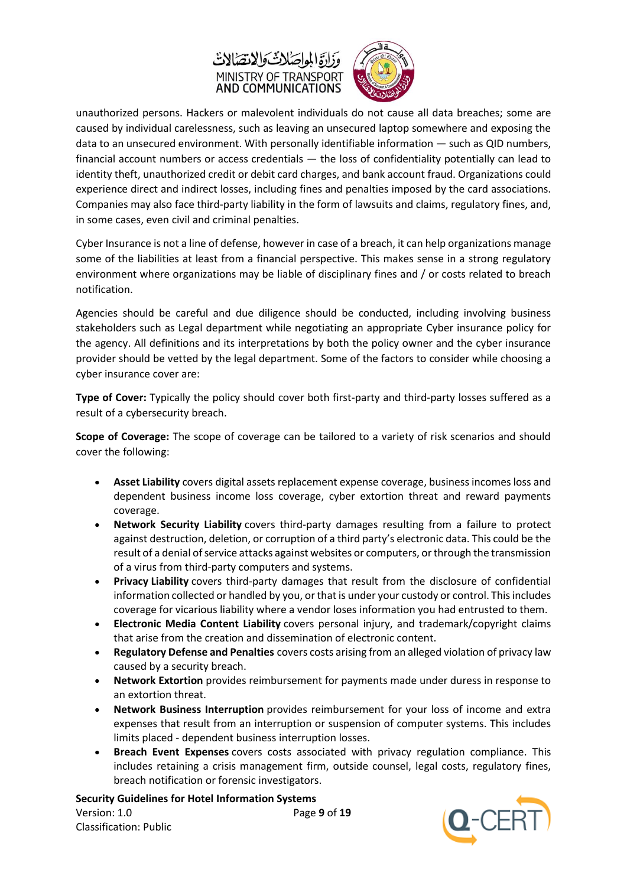



unauthorized persons. Hackers or malevolent individuals do not cause all data breaches; some are caused by individual carelessness, such as leaving an unsecured laptop somewhere and exposing the data to an unsecured environment. With personally identifiable information — such as QID numbers, financial account numbers or access credentials — the loss of confidentiality potentially can lead to identity theft, unauthorized credit or debit card charges, and bank account fraud. Organizations could experience direct and indirect losses, including fines and penalties imposed by the card associations. Companies may also face third-party liability in the form of lawsuits and claims, regulatory fines, and, in some cases, even civil and criminal penalties.

Cyber Insurance is not a line of defense, however in case of a breach, it can help organizations manage some of the liabilities at least from a financial perspective. This makes sense in a strong regulatory environment where organizations may be liable of disciplinary fines and / or costs related to breach notification.

Agencies should be careful and due diligence should be conducted, including involving business stakeholders such as Legal department while negotiating an appropriate Cyber insurance policy for the agency. All definitions and its interpretations by both the policy owner and the cyber insurance provider should be vetted by the legal department. Some of the factors to consider while choosing a cyber insurance cover are:

**Type of Cover:** Typically the policy should cover both first-party and third-party losses suffered as a result of a cybersecurity breach.

**Scope of Coverage:** The scope of coverage can be tailored to a variety of risk scenarios and should cover the following:

- **Asset Liability** covers digital assets replacement expense coverage, business incomes loss and dependent business income loss coverage, cyber extortion threat and reward payments coverage.
- **Network Security Liability** covers third-party damages resulting from a failure to protect against destruction, deletion, or corruption of a third party's electronic data. This could be the result of a denial of service attacks against websites or computers, or through the transmission of a virus from third-party computers and systems.
- **Privacy Liability** covers third-party damages that result from the disclosure of confidential information collected or handled by you, or that is under your custody or control. This includes coverage for vicarious liability where a vendor loses information you had entrusted to them.
- **Electronic Media Content Liability** covers personal injury, and trademark/copyright claims that arise from the creation and dissemination of electronic content.
- **Regulatory Defense and Penalties** covers costs arising from an alleged violation of privacy law caused by a security breach.
- **Network Extortion** provides reimbursement for payments made under duress in response to a[n extortion threat.](http://www.hubinternational.com/crisis-management/blog/hackers-take-to-holding-data-for-ransom/)
- **Network Business Interruption** provides reimbursement for your loss of income and extra expenses that result from an interruption or suspension of computer systems. This includes limits placed - dependent business interruption losses.
- **Breach Event Expenses** covers costs associated with privacy regulation compliance. This includes retaining a crisis management firm, outside counsel, legal costs, regulatory fines, breach notification or forensic investigators.

**Security Guidelines for Hotel Information Systems** Version: 1.0 Page **9** of **19** Classification: Public

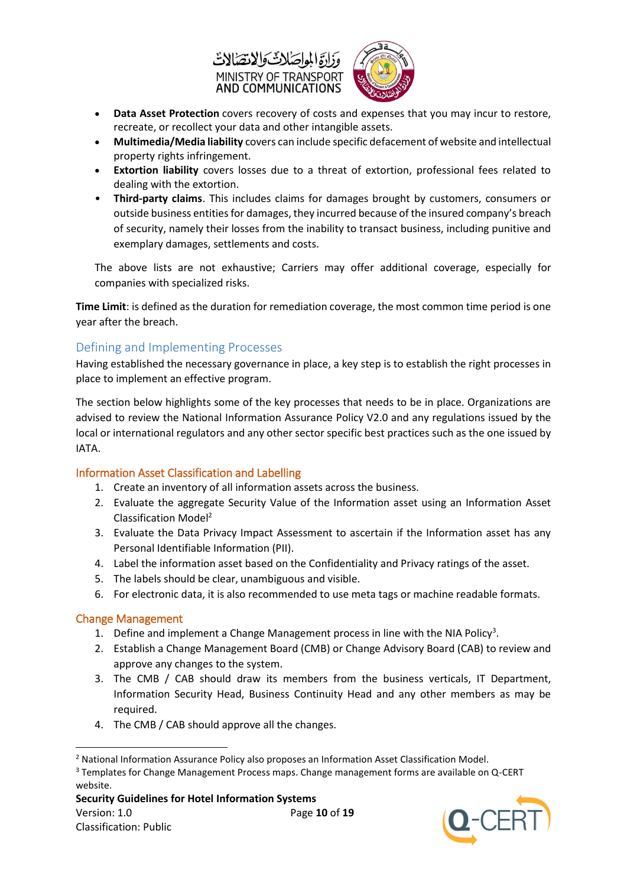



- **Data Asset Protection** covers recovery of costs and expenses that you may incur to restore, recreate, or recollect your data and other intangible assets.
- **Multimedia/Media liability** covers can include specific defacement of website and intellectual property rights infringement.
- **Extortion liability** covers losses due to a threat of extortion, professional fees related to dealing with the extortion.
- **Third-party claims**. This includes claims for damages brought by customers, consumers or outside business entities for damages, they incurred because of the insured company's breach of security, namely their losses from the inability to transact business, including punitive and exemplary damages, settlements and costs.

The above lists are not exhaustive; Carriers may offer additional coverage, especially for companies with specialized risks.

**Time Limit**: is defined as the duration for remediation coverage, the most common time period is one year after the breach.

#### <span id="page-9-0"></span>Defining and Implementing Processes

Having established the necessary governance in place, a key step is to establish the right processes in place to implement an effective program.

The section below highlights some of the key processes that needs to be in place. Organizations are advised to review the National Information Assurance Policy V2.0 and any regulations issued by the local or international regulators and any other sector specific best practices such as the one issued by IATA.

#### <span id="page-9-1"></span>Information Asset Classification and Labelling

- 1. Create an inventory of all information assets across the business.
- 2. Evaluate the aggregate Security Value of the Information asset using an Information Asset Classification Model<sup>2</sup>
- 3. Evaluate the Data Privacy Impact Assessment to ascertain if the Information asset has any Personal Identifiable Information (PII).
- 4. Label the information asset based on the Confidentiality and Privacy ratings of the asset.
- 5. The labels should be clear, unambiguous and visible.
- 6. For electronic data, it is also recommended to use meta tags or machine readable formats.

#### <span id="page-9-2"></span>Change Management

- 1. Define and implement a Change Management process in line with the NIA Policy<sup>3</sup>.
- 2. Establish a Change Management Board (CMB) or Change Advisory Board (CAB) to review and approve any changes to the system.
- 3. The CMB / CAB should draw its members from the business verticals, IT Department, Information Security Head, Business Continuity Head and any other members as may be required.
- 4. The CMB / CAB should approve all the changes.



**<sup>.</sup>** <sup>2</sup> National Information Assurance Policy also proposes an Information Asset Classification Model.

<sup>&</sup>lt;sup>3</sup> Templates for Change Management Process maps. Change management forms are available on Q-CERT website.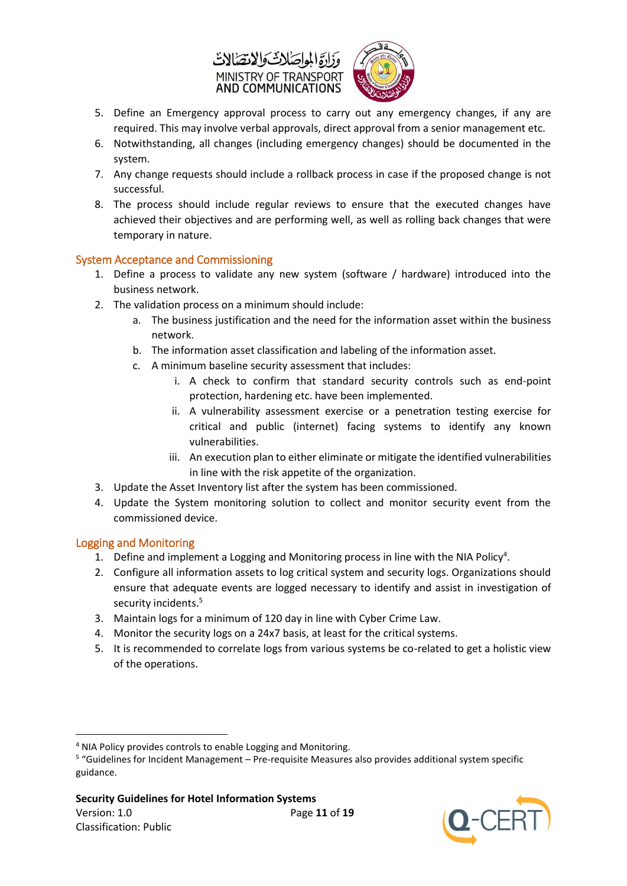



- 5. Define an Emergency approval process to carry out any emergency changes, if any are required. This may involve verbal approvals, direct approval from a senior management etc.
- 6. Notwithstanding, all changes (including emergency changes) should be documented in the system.
- 7. Any change requests should include a rollback process in case if the proposed change is not successful.
- 8. The process should include regular reviews to ensure that the executed changes have achieved their objectives and are performing well, as well as rolling back changes that were temporary in nature.

#### <span id="page-10-0"></span>System Acceptance and Commissioning

- 1. Define a process to validate any new system (software / hardware) introduced into the business network.
- 2. The validation process on a minimum should include:
	- a. The business justification and the need for the information asset within the business network.
	- b. The information asset classification and labeling of the information asset.
	- c. A minimum baseline security assessment that includes:
		- i. A check to confirm that standard security controls such as end-point protection, hardening etc. have been implemented.
		- ii. A vulnerability assessment exercise or a penetration testing exercise for critical and public (internet) facing systems to identify any known vulnerabilities.
		- iii. An execution plan to either eliminate or mitigate the identified vulnerabilities in line with the risk appetite of the organization.
- 3. Update the Asset Inventory list after the system has been commissioned.
- 4. Update the System monitoring solution to collect and monitor security event from the commissioned device.

#### <span id="page-10-1"></span>Logging and Monitoring

**.** 

- 1. Define and implement a Logging and Monitoring process in line with the NIA Policy<sup>4</sup>.
- 2. Configure all information assets to log critical system and security logs. Organizations should ensure that adequate events are logged necessary to identify and assist in investigation of security incidents.<sup>5</sup>
- 3. Maintain logs for a minimum of 120 day in line with Cyber Crime Law.
- 4. Monitor the security logs on a 24x7 basis, at least for the critical systems.
- 5. It is recommended to correlate logs from various systems be co-related to get a holistic view of the operations.



<sup>4</sup> NIA Policy provides controls to enable Logging and Monitoring.

<sup>5</sup> "Guidelines for Incident Management – Pre-requisite Measures also provides additional system specific guidance.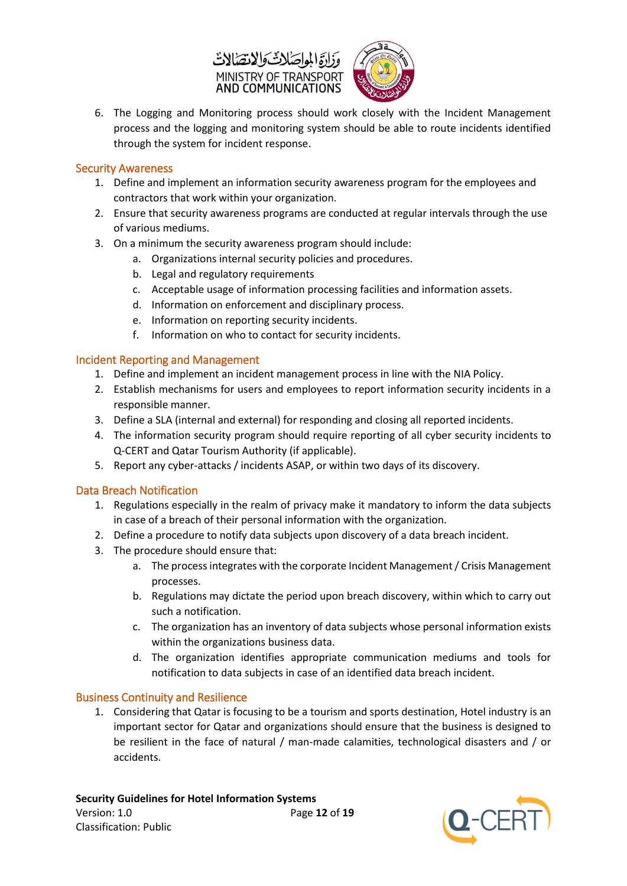



6. The Logging and Monitoring process should work closely with the Incident Management process and the logging and monitoring system should be able to route incidents identified through the system for incident response.

#### <span id="page-11-0"></span>Security Awareness

- 1. Define and implement an information security awareness program for the employees and contractors that work within your organization.
- 2. Ensure that security awareness programs are conducted at regular intervals through the use of various mediums.
- 3. On a minimum the security awareness program should include:
	- a. Organizations internal security policies and procedures.
	- b. Legal and regulatory requirements
	- c. Acceptable usage of information processing facilities and information assets.
	- d. Information on enforcement and disciplinary process.
	- e. Information on reporting security incidents.
	- f. Information on who to contact for security incidents.

#### <span id="page-11-1"></span>Incident Reporting and Management

- 1. Define and implement an incident management process in line with the NIA Policy.
- 2. Establish mechanisms for users and employees to report information security incidents in a responsible manner.
- 3. Define a SLA (internal and external) for responding and closing all reported incidents.
- 4. The information security program should require reporting of all cyber security incidents to Q-CERT and Qatar Tourism Authority (if applicable).
- 5. Report any cyber-attacks / incidents ASAP, or within two days of its discovery.

#### <span id="page-11-2"></span>Data Breach Notification

- 1. Regulations especially in the realm of privacy make it mandatory to inform the data subjects in case of a breach of their personal information with the organization.
- 2. Define a procedure to notify data subjects upon discovery of a data breach incident.
- 3. The procedure should ensure that:
	- a. The process integrates with the corporate Incident Management / Crisis Management processes.
	- b. Regulations may dictate the period upon breach discovery, within which to carry out such a notification.
	- c. The organization has an inventory of data subjects whose personal information exists within the organizations business data.
	- d. The organization identifies appropriate communication mediums and tools for notification to data subjects in case of an identified data breach incident.

#### <span id="page-11-3"></span>Business Continuity and Resilience

1. Considering that Qatar is focusing to be a tourism and sports destination, Hotel industry is an important sector for Qatar and organizations should ensure that the business is designed to be resilient in the face of natural / man-made calamities, technological disasters and / or accidents.

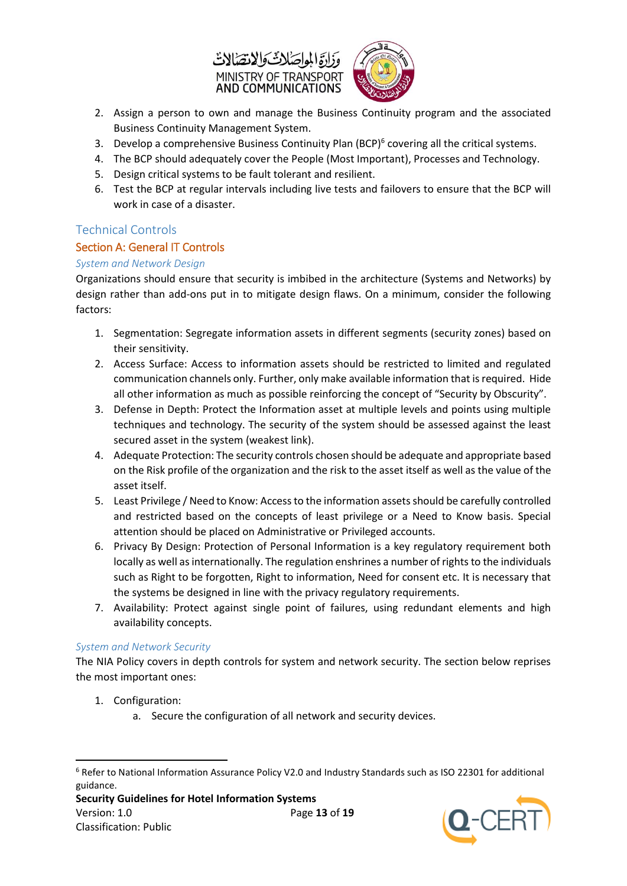



- 2. Assign a person to own and manage the Business Continuity program and the associated Business Continuity Management System.
- 3. Develop a comprehensive Business Continuity Plan (BCP)<sup>6</sup> covering all the critical systems.
- 4. The BCP should adequately cover the People (Most Important), Processes and Technology.
- 5. Design critical systems to be fault tolerant and resilient.
- 6. Test the BCP at regular intervals including live tests and failovers to ensure that the BCP will work in case of a disaster.

#### <span id="page-12-0"></span>Technical Controls

#### <span id="page-12-1"></span>Section A: General IT Controls

#### <span id="page-12-2"></span>*System and Network Design*

Organizations should ensure that security is imbibed in the architecture (Systems and Networks) by design rather than add-ons put in to mitigate design flaws. On a minimum, consider the following factors:

- 1. Segmentation: Segregate information assets in different segments (security zones) based on their sensitivity.
- 2. Access Surface: Access to information assets should be restricted to limited and regulated communication channels only. Further, only make available information that is required. Hide all other information as much as possible reinforcing the concept of "Security by Obscurity".
- 3. Defense in Depth: Protect the Information asset at multiple levels and points using multiple techniques and technology. The security of the system should be assessed against the least secured asset in the system (weakest link).
- 4. Adequate Protection: The security controls chosen should be adequate and appropriate based on the Risk profile of the organization and the risk to the asset itself as well as the value of the asset itself.
- 5. Least Privilege / Need to Know: Access to the information assets should be carefully controlled and restricted based on the concepts of least privilege or a Need to Know basis. Special attention should be placed on Administrative or Privileged accounts.
- 6. Privacy By Design: Protection of Personal Information is a key regulatory requirement both locally as well as internationally. The regulation enshrines a number of rights to the individuals such as Right to be forgotten, Right to information, Need for consent etc. It is necessary that the systems be designed in line with the privacy regulatory requirements.
- 7. Availability: Protect against single point of failures, using redundant elements and high availability concepts.

#### <span id="page-12-3"></span>*System and Network Security*

The NIA Policy covers in depth controls for system and network security. The section below reprises the most important ones:

1. Configuration:

**.** 

a. Secure the configuration of all network and security devices.



<sup>6</sup> Refer to National Information Assurance Policy V2.0 and Industry Standards such as ISO 22301 for additional guidance.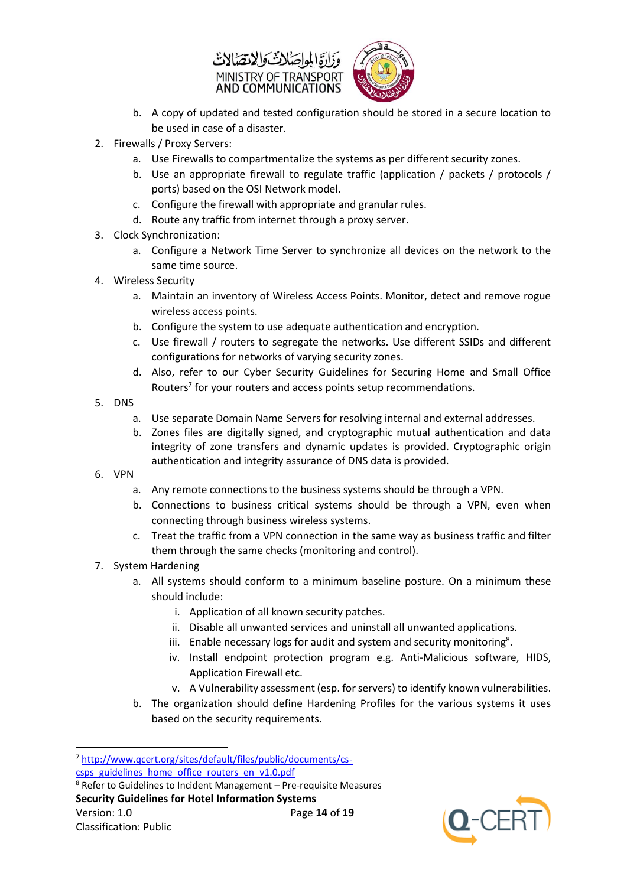



- b. A copy of updated and tested configuration should be stored in a secure location to be used in case of a disaster.
- 2. Firewalls / Proxy Servers:
	- a. Use Firewalls to compartmentalize the systems as per different security zones.
	- b. Use an appropriate firewall to regulate traffic (application / packets / protocols / ports) based on the OSI Network model.
	- c. Configure the firewall with appropriate and granular rules.
	- d. Route any traffic from internet through a proxy server.
- 3. Clock Synchronization:
	- a. Configure a Network Time Server to synchronize all devices on the network to the same time source.
- 4. Wireless Security
	- a. Maintain an inventory of Wireless Access Points. Monitor, detect and remove rogue wireless access points.
	- b. Configure the system to use adequate authentication and encryption.
	- c. Use firewall / routers to segregate the networks. Use different SSIDs and different configurations for networks of varying security zones.
	- d. Also, refer to our Cyber Security Guidelines for Securing Home and Small Office Routers<sup>7</sup> for your routers and access points setup recommendations.
- 5. DNS
	- a. Use separate Domain Name Servers for resolving internal and external addresses.
	- b. Zones files are digitally signed, and cryptographic mutual authentication and data integrity of zone transfers and dynamic updates is provided. Cryptographic origin authentication and integrity assurance of DNS data is provided.
- 6. VPN
	- a. Any remote connections to the business systems should be through a VPN.
	- b. Connections to business critical systems should be through a VPN, even when connecting through business wireless systems.
	- c. Treat the traffic from a VPN connection in the same way as business traffic and filter them through the same checks (monitoring and control).
- 7. System Hardening
	- a. All systems should conform to a minimum baseline posture. On a minimum these should include:
		- i. Application of all known security patches.
		- ii. Disable all unwanted services and uninstall all unwanted applications.
		- iii. Enable necessary logs for audit and system and security monitoring<sup>8</sup>.
		- iv. Install endpoint protection program e.g. Anti-Malicious software, HIDS, Application Firewall etc.
		- v. A Vulnerability assessment (esp. for servers) to identify known vulnerabilities.
	- b. The organization should define Hardening Profiles for the various systems it uses based on the security requirements.

**Security Guidelines for Hotel Information Systems**



**<sup>.</sup>** <sup>7</sup> [http://www.qcert.org/sites/default/files/public/documents/cs](http://www.qcert.org/sites/default/files/public/documents/cs-csps_guidelines_home_office_routers_en_v1.0.pdf)[csps\\_guidelines\\_home\\_office\\_routers\\_en\\_v1.0.pdf](http://www.qcert.org/sites/default/files/public/documents/cs-csps_guidelines_home_office_routers_en_v1.0.pdf)

 $8$  Refer to Guidelines to Incident Management – Pre-requisite Measures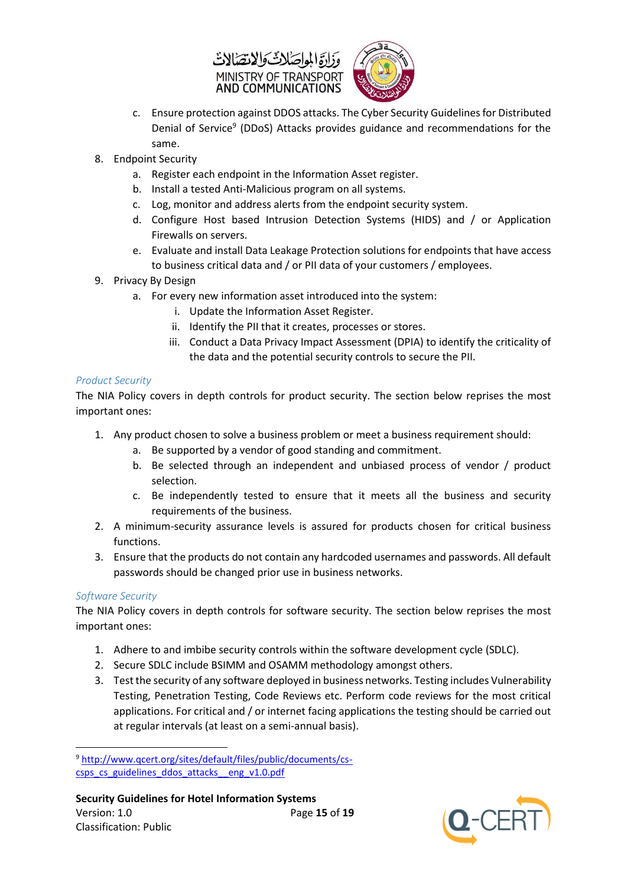



- c. Ensure protection against DDOS attacks. The Cyber Security Guidelines for Distributed Denial of Service<sup>9</sup> (DDoS) Attacks provides guidance and recommendations for the same.
- 8. Endpoint Security
	- a. Register each endpoint in the Information Asset register.
	- b. Install a tested Anti-Malicious program on all systems.
	- c. Log, monitor and address alerts from the endpoint security system.
	- d. Configure Host based Intrusion Detection Systems (HIDS) and / or Application Firewalls on servers.
	- e. Evaluate and install Data Leakage Protection solutions for endpoints that have access to business critical data and / or PII data of your customers / employees.
- 9. Privacy By Design
	- a. For every new information asset introduced into the system:
		- i. Update the Information Asset Register.
		- ii. Identify the PII that it creates, processes or stores.
		- iii. Conduct a Data Privacy Impact Assessment (DPIA) to identify the criticality of the data and the potential security controls to secure the PII.

#### <span id="page-14-0"></span>*Product Security*

The NIA Policy covers in depth controls for product security. The section below reprises the most important ones:

- 1. Any product chosen to solve a business problem or meet a business requirement should:
	- a. Be supported by a vendor of good standing and commitment.
	- b. Be selected through an independent and unbiased process of vendor / product selection.
	- c. Be independently tested to ensure that it meets all the business and security requirements of the business.
- 2. A minimum-security assurance levels is assured for products chosen for critical business functions.
- 3. Ensure that the products do not contain any hardcoded usernames and passwords. All default passwords should be changed prior use in business networks.

#### <span id="page-14-1"></span>*Software Security*

The NIA Policy covers in depth controls for software security. The section below reprises the most important ones:

- 1. Adhere to and imbibe security controls within the software development cycle (SDLC).
- 2. Secure SDLC include BSIMM and OSAMM methodology amongst others.
- 3. Test the security of any software deployed in business networks. Testing includes Vulnerability Testing, Penetration Testing, Code Reviews etc. Perform code reviews for the most critical applications. For critical and / or internet facing applications the testing should be carried out at regular intervals (at least on a semi-annual basis).



**<sup>.</sup>** <sup>9</sup> [http://www.qcert.org/sites/default/files/public/documents/cs](http://www.qcert.org/sites/default/files/public/documents/cs-csps_cs_guidelines_ddos_attacks__eng_v1.0.pdf)[csps\\_cs\\_guidelines\\_ddos\\_attacks\\_\\_eng\\_v1.0.pdf](http://www.qcert.org/sites/default/files/public/documents/cs-csps_cs_guidelines_ddos_attacks__eng_v1.0.pdf)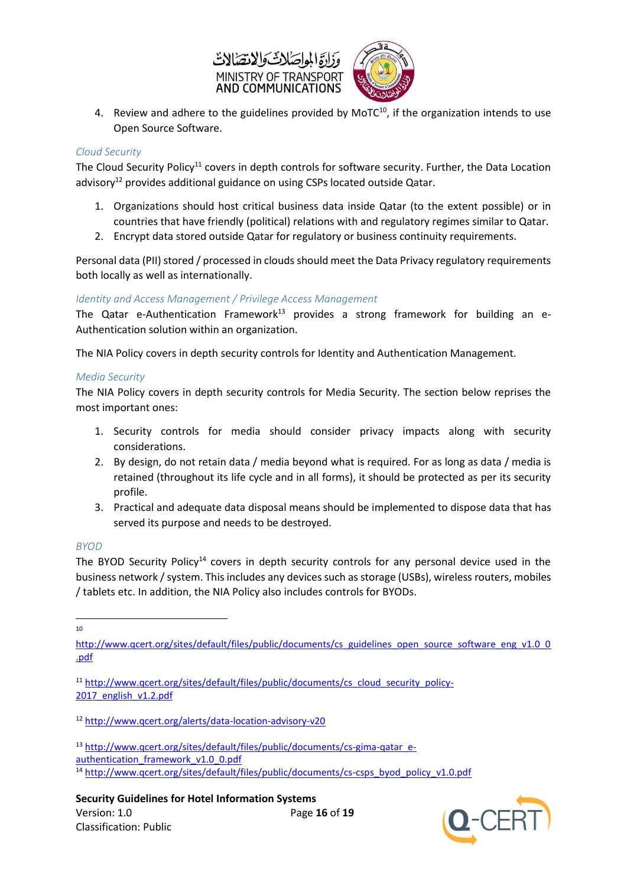



4. Review and adhere to the guidelines provided by MoTC $10$ , if the organization intends to use Open Source Software.

#### <span id="page-15-0"></span>*Cloud Security*

The Cloud Security Policy<sup>11</sup> covers in depth controls for software security. Further, the Data Location advisory<sup>12</sup> provides additional guidance on using CSPs located outside Qatar.

- 1. Organizations should host critical business data inside Qatar (to the extent possible) or in countries that have friendly (political) relations with and regulatory regimes similar to Qatar.
- 2. Encrypt data stored outside Qatar for regulatory or business continuity requirements.

Personal data (PII) stored / processed in clouds should meet the Data Privacy regulatory requirements both locally as well as internationally.

#### <span id="page-15-1"></span>*Identity and Access Management / Privilege Access Management*

The Qatar e-Authentication Framework<sup>13</sup> provides a strong framework for building an e-Authentication solution within an organization.

The NIA Policy covers in depth security controls for Identity and Authentication Management.

#### <span id="page-15-2"></span>*Media Security*

The NIA Policy covers in depth security controls for Media Security. The section below reprises the most important ones:

- 1. Security controls for media should consider privacy impacts along with security considerations.
- 2. By design, do not retain data / media beyond what is required. For as long as data / media is retained (throughout its life cycle and in all forms), it should be protected as per its security profile.
- 3. Practical and adequate data disposal means should be implemented to dispose data that has served its purpose and needs to be destroyed.

#### <span id="page-15-3"></span>*BYOD*

The BYOD Security Policy<sup>14</sup> covers in depth security controls for any personal device used in the business network / system. This includes any devices such as storage (USBs), wireless routers, mobiles / tablets etc. In addition, the NIA Policy also includes controls for BYODs.

**.** 10



[http://www.qcert.org/sites/default/files/public/documents/cs\\_guidelines\\_open\\_source\\_software\\_eng\\_v1.0\\_0](http://www.qcert.org/sites/default/files/public/documents/cs_guidelines_open_source_software_eng_v1.0_0.pdf)\_ [.pdf](http://www.qcert.org/sites/default/files/public/documents/cs_guidelines_open_source_software_eng_v1.0_0.pdf)

<sup>&</sup>lt;sup>11</sup> [http://www.qcert.org/sites/default/files/public/documents/cs\\_cloud\\_security\\_policy-](http://www.qcert.org/sites/default/files/public/documents/cs_cloud_security_policy-2017_english_v1.2.pdf)[2017\\_english\\_v1.2.pdf](http://www.qcert.org/sites/default/files/public/documents/cs_cloud_security_policy-2017_english_v1.2.pdf)

<sup>12</sup> <http://www.qcert.org/alerts/data-location-advisory-v20>

<sup>13</sup> [http://www.qcert.org/sites/default/files/public/documents/cs-gima-qatar\\_e-](http://www.qcert.org/sites/default/files/public/documents/cs-gima-qatar_e-authentication_framework_v1.0_0.pdf)

[authentication\\_framework\\_v1.0\\_0.pdf](http://www.qcert.org/sites/default/files/public/documents/cs-gima-qatar_e-authentication_framework_v1.0_0.pdf)

<sup>&</sup>lt;sup>14</sup> [http://www.qcert.org/sites/default/files/public/documents/cs-csps\\_byod\\_policy\\_v1.0.pdf](http://www.qcert.org/sites/default/files/public/documents/cs-csps_byod_policy_v1.0.pdf)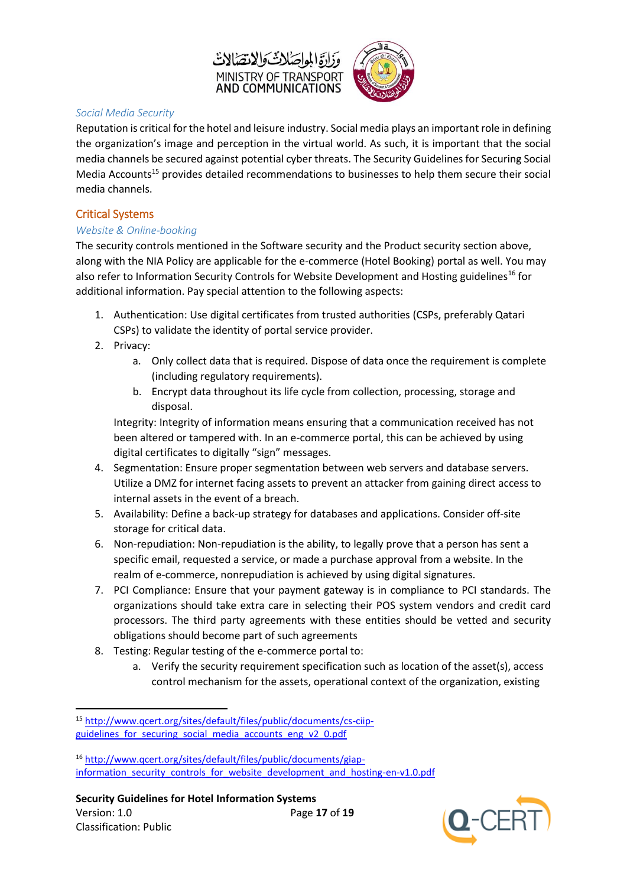



#### <span id="page-16-0"></span>*Social Media Security*

Reputation is critical for the hotel and leisure industry. Social media plays an important role in defining the organization's image and perception in the virtual world. As such, it is important that the social media channels be secured against potential cyber threats. The Security Guidelines for Securing Social Media Accounts<sup>15</sup> provides detailed recommendations to businesses to help them secure their social media channels.

#### <span id="page-16-1"></span>Critical Systems

#### <span id="page-16-2"></span>*Website & Online-booking*

The security controls mentioned in the Software security and the Product security section above, along with the NIA Policy are applicable for the e-commerce (Hotel Booking) portal as well. You may also refer to Information Security Controls for Website Development and Hosting guidelines<sup>16</sup> for additional information. Pay special attention to the following aspects:

- 1. Authentication: Use digital certificates from trusted authorities (CSPs, preferably Qatari CSPs) to validate the identity of portal service provider.
- 2. Privacy:

**.** 

- a. Only collect data that is required. Dispose of data once the requirement is complete (including regulatory requirements).
- b. Encrypt data throughout its life cycle from collection, processing, storage and disposal.

Integrity: Integrity of information means ensuring that a communication received has not been altered or tampered with. In an e-commerce portal, this can be achieved by using digital certificates to digitally "sign" messages.

- 4. Segmentation: Ensure proper segmentation between web servers and database servers. Utilize a DMZ for internet facing assets to prevent an attacker from gaining direct access to internal assets in the event of a breach.
- 5. Availability: Define a back-up strategy for databases and applications. Consider off-site storage for critical data.
- 6. Non-repudiation: Non-repudiation is the ability, to legally prove that a person has sent a specific email, requested a service, or made a purchase approval from a website. In the realm of e-commerce, nonrepudiation is achieved by using digital signatures.
- 7. PCI Compliance: Ensure that your payment gateway is in compliance to PCI standards. The organizations should take extra care in selecting their POS system vendors and credit card processors. The third party agreements with these entities should be vetted and security obligations should become part of such agreements
- 8. Testing: Regular testing of the e-commerce portal to:
	- a. Verify the security requirement specification such as location of the asset(s), access control mechanism for the assets, operational context of the organization, existing

<sup>16</sup> [http://www.qcert.org/sites/default/files/public/documents/giap](http://www.qcert.org/sites/default/files/public/documents/giap-information_security_controls_for_website_development_and_hosting-en-v1.0.pdf)[information\\_security\\_controls\\_for\\_website\\_development\\_and\\_hosting-en-v1.0.pdf](http://www.qcert.org/sites/default/files/public/documents/giap-information_security_controls_for_website_development_and_hosting-en-v1.0.pdf)



<sup>15</sup> [http://www.qcert.org/sites/default/files/public/documents/cs-ciip](http://www.qcert.org/sites/default/files/public/documents/cs-ciip-guidelines_for_securing_social_media_accounts_eng_v2_0.pdf)guidelines for securing social media accounts eng v2\_0.pdf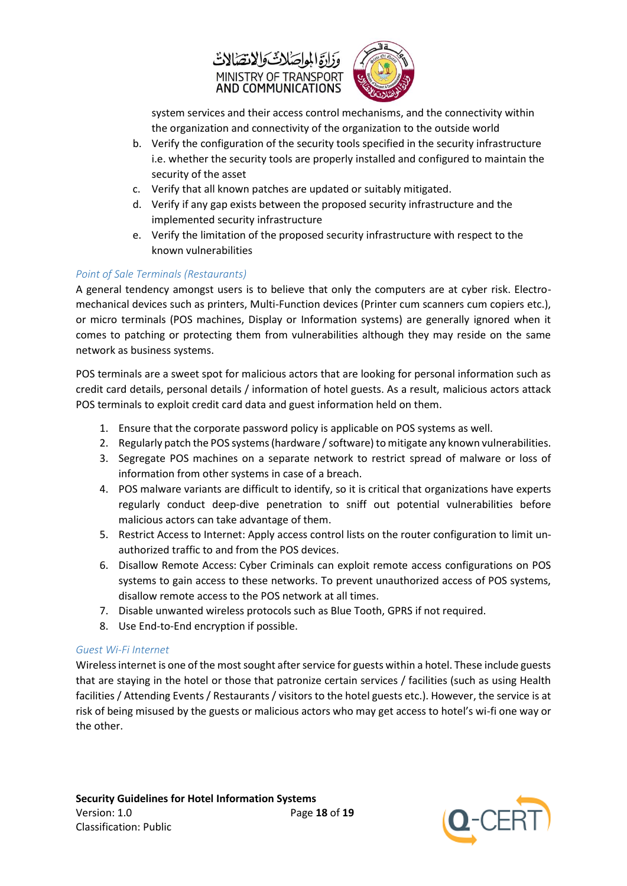



system services and their access control mechanisms, and the connectivity within the organization and connectivity of the organization to the outside world

- b. Verify the configuration of the security tools specified in the security infrastructure i.e. whether the security tools are properly installed and configured to maintain the security of the asset
- c. Verify that all known patches are updated or suitably mitigated.
- d. Verify if any gap exists between the proposed security infrastructure and the implemented security infrastructure
- e. Verify the limitation of the proposed security infrastructure with respect to the known vulnerabilities

#### <span id="page-17-0"></span>*Point of Sale Terminals (Restaurants)*

A general tendency amongst users is to believe that only the computers are at cyber risk. Electromechanical devices such as printers, Multi-Function devices (Printer cum scanners cum copiers etc.), or micro terminals (POS machines, Display or Information systems) are generally ignored when it comes to patching or protecting them from vulnerabilities although they may reside on the same network as business systems.

POS terminals are a sweet spot for malicious actors that are looking for personal information such as credit card details, personal details / information of hotel guests. As a result, malicious actors attack POS terminals to exploit credit card data and guest information held on them.

- 1. Ensure that the corporate password policy is applicable on POS systems as well.
- 2. Regularly patch the POS systems (hardware / software) to mitigate any known vulnerabilities.
- 3. Segregate POS machines on a separate network to restrict spread of malware or loss of information from other systems in case of a breach.
- 4. POS malware variants are difficult to identify, so it is critical that organizations have experts regularly conduct deep-dive penetration to sniff out potential vulnerabilities before malicious actors can take advantage of them.
- 5. Restrict Access to Internet: Apply access control lists on the router configuration to limit unauthorized traffic to and from the POS devices.
- 6. Disallow Remote Access: Cyber Criminals can exploit remote access configurations on POS systems to gain access to these networks. To prevent unauthorized access of POS systems, disallow remote access to the POS network at all times.
- 7. Disable unwanted wireless protocols such as Blue Tooth, GPRS if not required.
- 8. Use End-to-End encryption if possible.

#### <span id="page-17-1"></span>*Guest Wi-Fi Internet*

Wireless internet is one of the most sought after service for guests within a hotel. These include guests that are staying in the hotel or those that patronize certain services / facilities (such as using Health facilities / Attending Events / Restaurants / visitors to the hotel guests etc.). However, the service is at risk of being misused by the guests or malicious actors who may get access to hotel's wi-fi one way or the other.